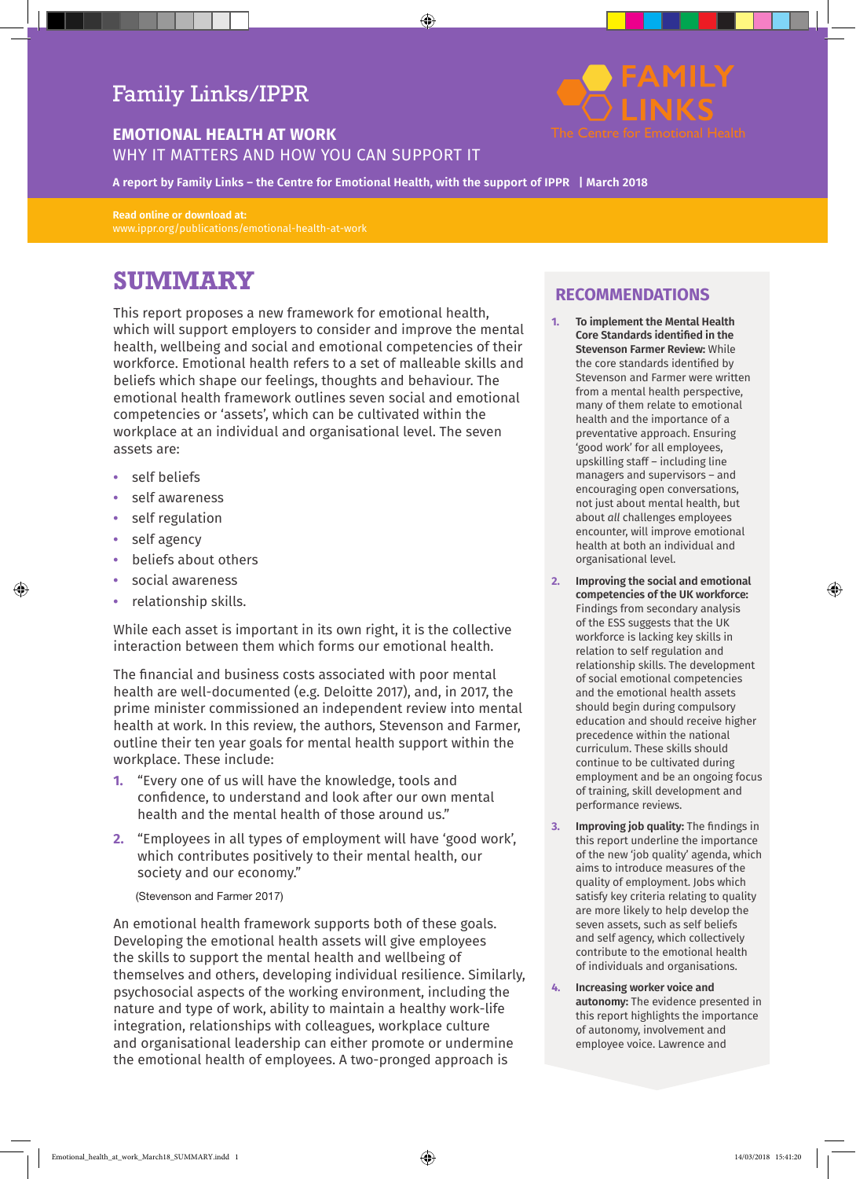## Family Links/IPPR

## **EMOTIONAL HEALTH AT WORK**

#### WHY IT MATTERS AND HOW YOU CAN SUPPORT IT

**A report by Family Links – the Centre for Emotional Health, with the support of IPPR | March 2018**

**Read online or download at:**  www.ippr.org/publications/emotional-health-at-work

# **SUMMARY**

This report proposes a new framework for emotional health, which will support employers to consider and improve the mental health, wellbeing and social and emotional competencies of their workforce. Emotional health refers to a set of malleable skills and beliefs which shape our feelings, thoughts and behaviour. The emotional health framework outlines seven social and emotional competencies or 'assets', which can be cultivated within the workplace at an individual and organisational level. The seven assets are:

- **•** self beliefs
- **•** self awareness
- **•** self regulation
- **•** self agency
- **•** beliefs about others
- **•** social awareness
- **•** relationship skills.

While each asset is important in its own right, it is the collective interaction between them which forms our emotional health.

The financial and business costs associated with poor mental health are well-documented (e.g. Deloitte 2017), and, in 2017, the prime minister commissioned an independent review into mental health at work. In this review, the authors, Stevenson and Farmer, outline their ten year goals for mental health support within the workplace. These include:

- **1.** "Every one of us will have the knowledge, tools and confidence, to understand and look after our own mental health and the mental health of those around us."
- **2.** "Employees in all types of employment will have 'good work', which contributes positively to their mental health, our society and our economy."

#### (Stevenson and Farmer 2017)

An emotional health framework supports both of these goals. Developing the emotional health assets will give employees the skills to support the mental health and wellbeing of themselves and others, developing individual resilience. Similarly, psychosocial aspects of the working environment, including the nature and type of work, ability to maintain a healthy work-life integration, relationships with colleagues, workplace culture and organisational leadership can either promote or undermine the emotional health of employees. A two-pronged approach is



## **RECOMMENDATIONS**

- **1. To implement the Mental Health Core Standards identified in the Stevenson Farmer Review:** While the core standards identified by Stevenson and Farmer were written from a mental health perspective, many of them relate to emotional health and the importance of a preventative approach. Ensuring 'good work' for all employees, upskilling staff – including line managers and supervisors – and encouraging open conversations, not just about mental health, but about *all* challenges employees encounter, will improve emotional health at both an individual and organisational level.
- **2. Improving the social and emotional competencies of the UK workforce:** Findings from secondary analysis of the ESS suggests that the UK workforce is lacking key skills in relation to self regulation and relationship skills. The development of social emotional competencies and the emotional health assets should begin during compulsory education and should receive higher precedence within the national curriculum. These skills should continue to be cultivated during employment and be an ongoing focus of training, skill development and performance reviews.
- **3. Improving job quality:** The findings in this report underline the importance of the new 'job quality' agenda, which aims to introduce measures of the quality of employment. Jobs which satisfy key criteria relating to quality are more likely to help develop the seven assets, such as self beliefs and self agency, which collectively contribute to the emotional health of individuals and organisations.
- **4. Increasing worker voice and autonomy:** The evidence presented in this report highlights the importance of autonomy, involvement and employee voice. Lawrence and